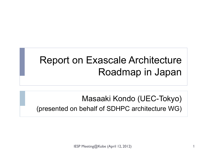# Report on Exascale Architecture Roadmap in Japan

### Masaaki Kondo (UEC-Tokyo) (presented on behalf of SDHPC architecture WG)

IESP Meeting@Kobe (April 12, 2012)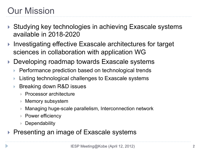# Our Mission

- ▶ Studying key technologies in achieving Exascale systems available in 2018-2020
- ▶ Investigating effective Exascale architectures for target sciences in collaboration with application WG
- ▶ Developing roadmap towards Exascale systems
	- } Performance prediction based on technological trends
	- Listing technological challenges to Exascale systems
	- } Breaking down R&D issues
		- **▶ Processor architecture**
		- } Memory subsystem
		- } Managing huge-scale parallelism, Interconnection network
		- **▶ Power efficiency**
		- **▶ Dependability**
- ▶ Presenting an image of Exascale systems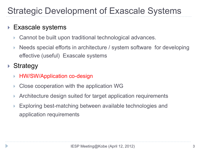# Strategic Development of Exascale Systems

### **Exascale systems**

- } Cannot be built upon traditional technological advances.
- Needs special efforts in architecture / system software for developing effective (useful) Exascale systems

▶ Strategy

- ▶ HW/SW/Application co-design
- } Close cooperation with the application WG
- } Architecture design suited for target application requirements
- Exploring best-matching between available technologies and application requirements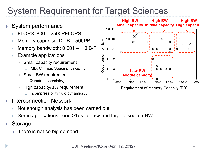## System Requirement for Target Sciences

- System performance
	- } FLOPS: 800 2500PFLOPS
	- } Memory capacity: 10TB 500PB
	- Memory bandwidth:  $0.001 1.0$  B/F
	- Example applications
		- Small capacity requirement
			- MD, Climate, Space physics, ...
		- Small BW requirement
			- $\Box$  Quantum chemistry, ...
		- High capacity/BW requirement
			- $\Box$  Incompressibility fluid dynamics, ...
- ▶ Interconnection Network
	- } Not enough analysis has been carried out
	- } Some applications need >1us latency and large bisection BW
- ▶ Storage
	- $\triangleright$  There is not so big demand

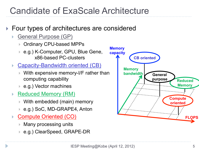## Candidate of ExaScale Architecture

### ▶ Four types of architectures are considered

- **General Purpose (GP)** 
	- } Ordinary CPU-based MPPs
	- } e.g.) K-Computer, GPU, Blue Gene, x86-based PC-clusters
- **Capacity-Bandwidth oriented (CB)** 
	- With expensive memory-I/F rather than computing capability
	- e.g.) Vector machines
- Reduced Memory (RM)
	- } With embedded (main) memory
	- e.g.) SoC, MD-GRAPE4, Anton
- ▶ Compute Oriented (CO)
	- ▶ Many processing units
	- } e.g.) ClearSpeed, GRAPE-DR

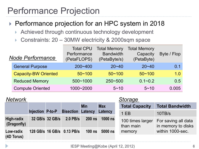## Performance Projection

- ▶ Performance projection for an HPC system in 2018
	- ▶ Achieved through continuous technology development
	- ▶ Constraints: 20 30MW electricity & 2000sqm space

| <b>Node Performance</b>     | <b>Total CPU</b><br>Performance<br>(PetaFLOPS) | <b>Total Memory</b><br><b>Bandwidth</b><br>(PetaByte/s) | <b>Total Memory</b><br>Capacity<br>(PetaByte) | Byte / Flop |
|-----------------------------|------------------------------------------------|---------------------------------------------------------|-----------------------------------------------|-------------|
| <b>General Purpose</b>      | $200 - 400$                                    | $20 - 40$                                               | $20 - 40$                                     | 0.1         |
| <b>Capacity-BW Oriented</b> | $50 - 100$                                     | $50 - 100$                                              | $50 - 100$                                    | 1.0         |
| <b>Reduced Memory</b>       | $500 - 1000$                                   | 250~500                                                 | $0.1 - 0.2$                                   | 0.5         |
| <b>Compute Oriented</b>     | 1000~2000                                      | $5 - 10$                                                | $5 - 10$                                      | 0.005       |

| <b>Network</b>            |                  |                 |                            |               | Storage    |                               |                                           |
|---------------------------|------------------|-----------------|----------------------------|---------------|------------|-------------------------------|-------------------------------------------|
|                           |                  |                 |                            | <b>Min</b>    | <b>Max</b> | <b>Total Capacity</b>         | <b>Total Bandwidth</b>                    |
|                           | Injection P-to-P |                 | <b>Bisection Latency</b>   |               | Latency    | 1EB                           | 10TB/s                                    |
| High-radix<br>(Dragonfly) |                  | 32 GB/s 32 GB/s | 2.0 PB/s                   | <b>200 ns</b> | $1000$ ns  | 100 times larger<br>than main | For saving all data<br>in memory to disks |
| Low-radix                 |                  |                 | 128 GB/s 16 GB/s 0.13 PB/s | $100$ ns      | 5000 ns    | memory                        | within 1000-sec.                          |
| (4D Torus)                |                  |                 |                            |               |            |                               |                                           |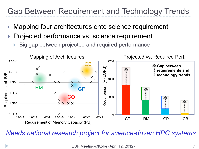### Gap Between Requirement and Technology Trends

- Mapping four architectures onto science requirement
- Projected performance vs. science requirement
	- Big gap between projected and required performance



*Needs national research project for science-driven HPC systems*

IESP Meeting@Kobe (April 12, 2012)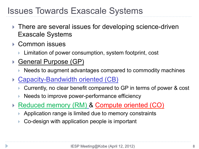### Issues Towards Exascale Systems

- ▶ There are several issues for developing science-driven Exascale Systems
- **▶ Common issues** 
	- ▶ Limitation of power consumption, system footprint, cost
- ▶ General Purpose (GP)
	- ▶ Needs to augment advantages compared to commodity machines
- ▶ Capacity-Bandwidth oriented (CB)
	- } Currently, no clear benefit compared to GP in terms of power & cost
	- Needs to improve power-performance efficiency
- ▶ Reduced memory (RM) & Compute oriented (CO)
	- } Application range is limited due to memory constraints
	- } Co-design with application people is important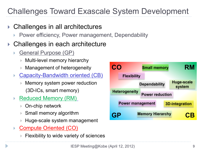### Challenges Toward Exascale System Development

- } Challenges in all architectures
	- Power efficiency, Power management, Dependability
- ▶ Challenges in each architecture
	- **General Purpose (GP)** 
		- } Multi-level memory hierarchy
		- Management of heterogeneity
	- **Capacity-Bandwidth oriented (CB)** 
		- } Memory system power reduction (3D-ICs, smart memory)
	- Reduced Memory (RM)
		- } On-chip network
		- ▶ Small memory algorithm
		- Huge-scale system management
	- **Compute Oriented (CO)** 
		- ▶ Flexibility to wide variety of sciences

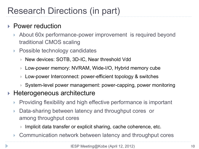## Research Directions (in part)

### ▶ Power reduction

- About 60x performance-power improvement is required beyond traditional CMOS scaling
- ▶ Possible technology candidates
	- } New devices: SOTB, 3D-IC, Near threshold Vdd
	- } Low-power memory: NVRAM, Wide-I/O, Hybrid memory cube
	- } Low-power Interconnect: power-efficient topology & switches
	- } System-level power management: power-capping, power monitoring

### ▶ Heterogeneous architecture

- Providing flexibility and high effective performance is important
- } Data-sharing between latency and throughput cores or among throughput cores
	- } Implicit data transfer or explicit sharing, cache coherence, etc.
- ▶ Communication network between latency and throughput cores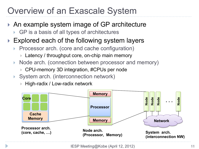# Overview of an Exascale System

- ▶ An example system image of GP architecture
	- ▶ GP is a basis of all types of architectures
- $\blacktriangleright$  Explored each of the following system layers
	- Processor arch. (core and cache configuration)
		- ▶ Latency / throughput core, on-chip main memory
	- Node arch. (connection between processor and memory)
		- ▶ CPU-memory 3D integration, #CPUs per node
	- ▶ System arch. (interconnection network)
		- ▶ High-radix / Low-radix network

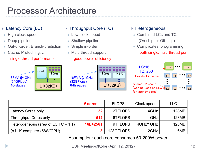### Processor Architecture

#### ▶ Latency Core (LC)

- High clock-speed
- Deep pipeline
- Out-of-order, Branch-prediction
- Cache, Prefeching, ...

#### single-thread performance



#### ▶ Throughput Core (TC)

- Low clock-speed
- Shallow pipeline
- Simple in-order

16FMA@1GHz (32GFlops) 8-threades

• Multi-thread support good power efficiency

#### } Heterogeneous

- Combined LCs and TCs (On-chip or Off-chip)
- Complicates programming both single/multi-thread perf.



|                                        | # cores         | <b>FLOPS</b> | Clock speed | LLC.         |
|----------------------------------------|-----------------|--------------|-------------|--------------|
| Latency Cores only                     | 32 <sub>2</sub> | 2TFLOPS      | 4GHz        | <b>128MB</b> |
| <b>Throughput Cores only</b>           | 512             | 16TFLOPS     | 1GHz        | 128MB        |
| Heterogeneous (area of $LC:TC = 1:1$ ) | 16L+256T        | 9TFLOPS      | 4GHz/1GHz   | 128MB        |
| (c.f. K-computer (58W/CPU)             |                 | 128GFLOPS    | 2GHz        | 6MB          |

Assumption: each core consumes 50-200W power

L1(32KB)

Reg .

.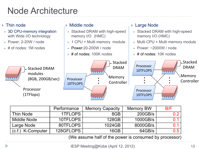## Node Architecture

#### $\blacktriangleright$  Thin node

- 3D CPU-memory integration with Wide I/O technology
- <sup>l</sup> Power: 2-20W / node
- # of nodes: 1M nodes

#### } Middle node

- Stacked DRAM with high-speed memory I/O (HMC)
- 1 CPU + Multi memory module
- $\bullet$  Power:20-200W / node
- $\bullet$  # of nodes: 100K nodes

#### ▶ Large Node

- Stacked DRAM with high-speed memory I/O (HMC)
- $\bullet$  Multi CPU + Multi memory module
- Power:  $\sim$ 2000W / node
- $\bullet$  # of nodes: 10K nodes



|                   | Performance | <b>Memory Capacity</b> | <b>Memory BW</b> | B/F            |
|-------------------|-------------|------------------------|------------------|----------------|
| <b>Thin Node</b>  | 1TFLOPS     | 8GB                    | 200GB/s          | 0 <sup>2</sup> |
| Middle Node       | 10TFLOPS    | 128GB                  | 1000GB/s         | 0.1            |
| Large Node        | 80TFLOPS    | 1024GB                 | 8000GB/s         | በ 1            |
| (c.f.) K-Computer | 128GFLOPS   | 16GB                   | 64GB/s           | 0.5            |

(We assume half of the power is consumed by processor)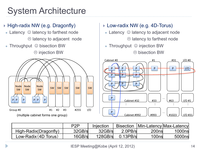## System Architecture

#### } High-radix NW (e.g. Dragonfly)

- Latency  $\odot$  latency to farthest node  $\odot$  latency to adjacent node
- Throughput  $\odot$  bisection BW

 $\circledcirc$  injection BW



- ▶ Low-radix NW (e.g. 4D-Torus)
- Latency  $\odot$  latency to adjacent node  $\odot$  latency to farthest node
- Throughput  $\odot$  injection BW  $\circledR$  bisection BW



|                       | P <sub>2</sub> P | Injection |              |       | Bisection   Min-Latency   Max-Latency |
|-----------------------|------------------|-----------|--------------|-------|---------------------------------------|
| High-Radix(Dragonfly) | 32GB/s           | 32GB/s    | $2.0$ $PB/s$ | 200ns | 1000ns                                |
| Low-Radix (4D Torus)  | 16GB/s           | 128GB/s   | $0.13$ PB/s  | 100ns | 5000ns                                |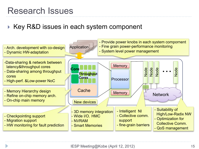### Research Issues

### ▶ Key R&D issues in each system component

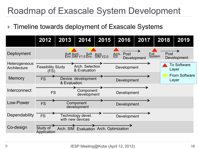### Roadmap of Exascale System Development

### ▶ Timeline towards deployment of Exascale Systems

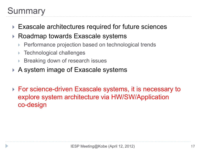# **Summary**

- ▶ Exascale architectures required for future sciences
- ▶ Roadmap towards Exascale systems
	- Performance projection based on technological trends
	- **Technological challenges**
	- } Breaking down of research issues
- ▶ A system image of Exascale systems
- ▶ For science-driven Exascale systems, it is necessary to explore system architecture via HW/SW/Application co-design